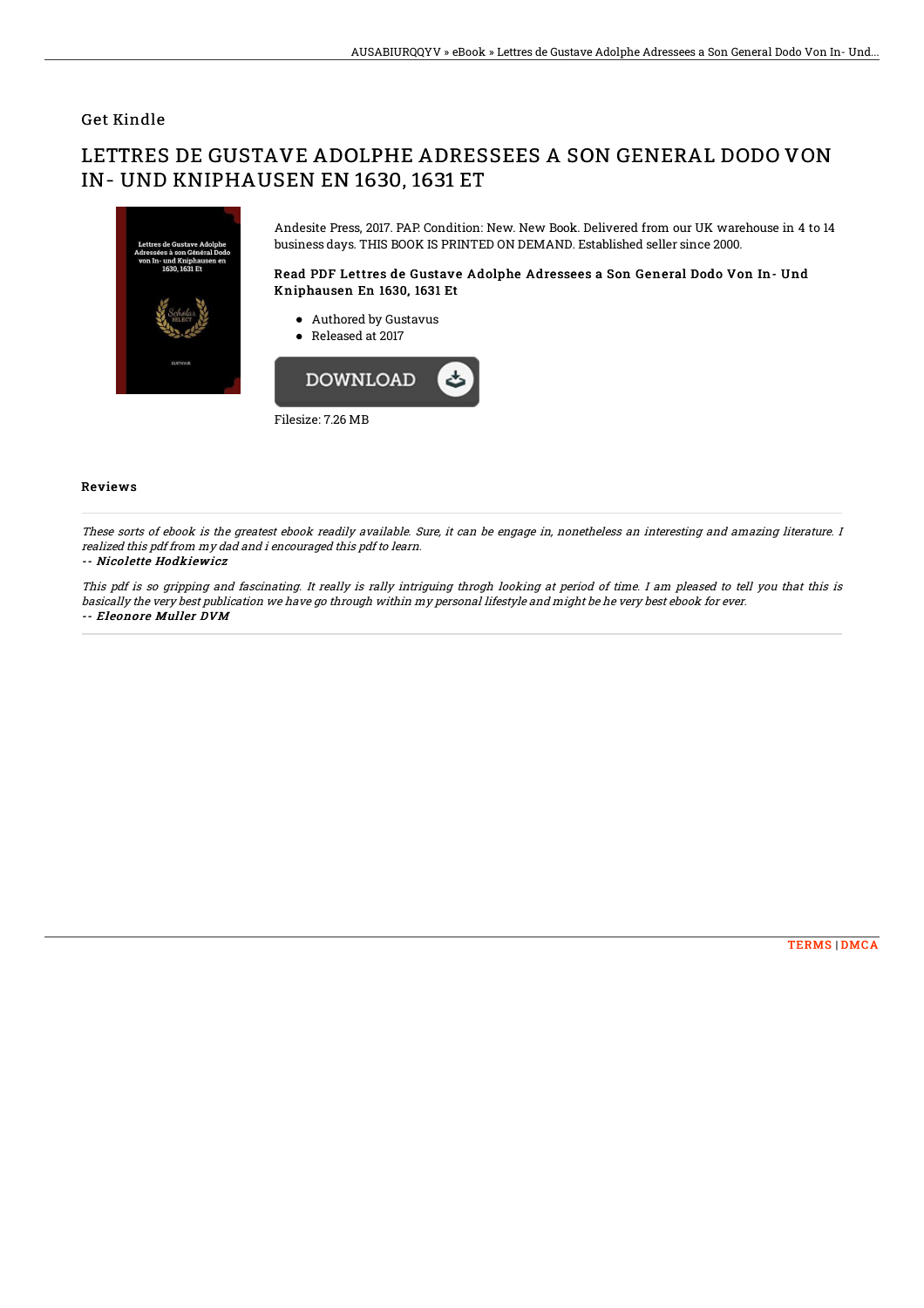## Get Kindle

# LETTRES DE GUSTAVE ADOLPHE ADRESSEES A SON GENERAL DODO VON IN- UND KNIPHAUSEN EN 1630, 1631 ET



Andesite Press, 2017. PAP. Condition: New. New Book. Delivered from our UK warehouse in 4 to 14 business days. THIS BOOK IS PRINTED ON DEMAND. Established seller since 2000.

#### Read PDF Lettres de Gustave Adolphe Adressees a Son General Dodo Von In- Und Kniphausen En 1630, 1631 Et

- Authored by Gustavus
- Released at 2017



### Reviews

These sorts of ebook is the greatest ebook readily available. Sure, it can be engage in, nonetheless an interesting and amazing literature. I realized this pdf from my dad and i encouraged this pdf to learn.

#### -- Nicolette Hodkiewicz

This pdf is so gripping and fascinating. It really is rally intriguing throgh looking at period of time. I am pleased to tell you that this is basically the very best publication we have go through within my personal lifestyle and might be he very best ebook for ever. -- Eleonore Muller DVM